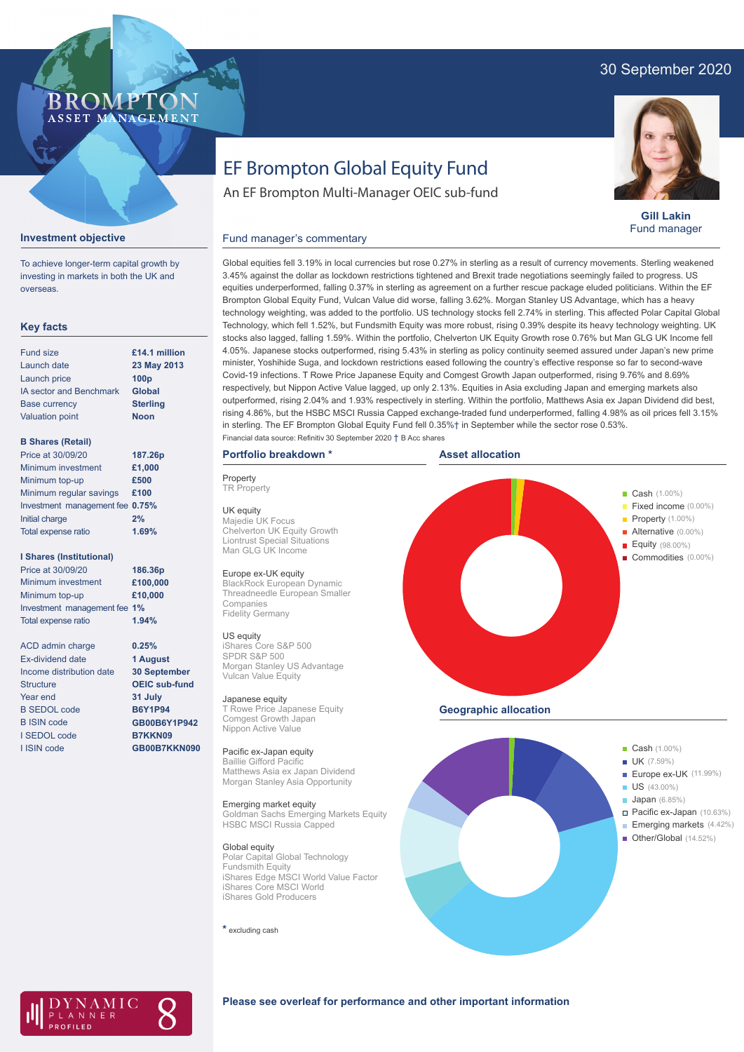## 30 September 2020

## **BROMP** ASSET MANAGEMENT

## **Gill Lakin** Fund manager

# **Investment objective**

To achieve longer-term capital growth by investing in markets in both the UK and overseas.

## **Key facts**

| <b>Fund size</b>               | £14.1 million    |
|--------------------------------|------------------|
| Launch date                    | 23 May 2013      |
| Launch price                   | 100 <sub>p</sub> |
| <b>IA sector and Benchmark</b> | Global           |
| <b>Base currency</b>           | <b>Sterling</b>  |
| <b>Valuation point</b>         | <b>Noon</b>      |
|                                |                  |

## **B Shares (Retail)**

| Price at 30/09/20               | 187.26p |
|---------------------------------|---------|
| Minimum investment              | £1,000  |
| Minimum top-up                  | £500    |
| Minimum regular savings         | £100    |
| Investment management fee 0.75% |         |
| Initial charge                  | 2%      |
| Total expense ratio             | 1.69%   |
|                                 |         |

### **I Shares (Institutional)**

Minimum investment Minimum top-up Investment management fee **1%** Total expense ratio **£100,000 £10,000** Price at 30/09/20 **186.36p 1.94%**

> **0.25% 1 August 30 September OEIC sub-fund 31 July B6Y1P94 GB00B6Y1P942 B7KKN09 GB00B7KKN090**

ACD admin charge Ex-dividend date Income distribution date Structure Year end B SEDOL code B ISIN code I SEDOL code I ISIN code

# EF Brompton Global Equity Fund

An EF Brompton Multi-Manager OEIC sub-fund

## Fund manager's commentary

Global equities fell 3.19% in local currencies but rose 0.27% in sterling as a result of currency movements. Sterling weakened 3.45% against the dollar as lockdown restrictions tightened and Brexit trade negotiations seemingly failed to progress. US equities underperformed, falling 0.37% in sterling as agreement on a further rescue package eluded politicians. Within the EF Brompton Global Equity Fund, Vulcan Value did worse, falling 3.62%. Morgan Stanley US Advantage, which has a heavy technology weighting, was added to the portfolio. US technology stocks fell 2.74% in sterling. This affected Polar Capital Global Technology, which fell 1.52%, but Fundsmith Equity was more robust, rising 0.39% despite its heavy technology weighting. UK stocks also lagged, falling 1.59%. Within the portfolio, Chelverton UK Equity Growth rose 0.76% but Man GLG UK Income fell 4.05%. Japanese stocks outperformed, rising 5.43% in sterling as policy continuity seemed assured under Japan's new prime minister, Yoshihide Suga, and lockdown restrictions eased following the country's effective response so far to second-wave Covid-19 infections. T Rowe Price Japanese Equity and Comgest Growth Japan outperformed, rising 9.76% and 8.69% respectively, but Nippon Active Value lagged, up only 2.13%. Equities in Asia excluding Japan and emerging markets also outperformed, rising 2.04% and 1.93% respectively in sterling. Within the portfolio, Matthews Asia ex Japan Dividend did best, rising 4.86%, but the HSBC MSCI Russia Capped exchange-traded fund underperformed, falling 4.98% as oil prices fell 3.15% in sterling. The EF Brompton Global Equity Fund fell 0.35%† in September while the sector rose 0.53%.

## **Portfolio breakdown \***

**Property TR** Property

UK equity Majedie UK Focus Chelverton UK Equity Growth Liontrust Special Situations Man GLG UK Income

## Europe ex-UK equity

BlackRock European Dynamic Threadneedle European Smaller Companies Fidelity Germany

US equity iShares Core S&P 500 SPDR S&P 500 Morgan Stanley US Advantage Vulcan Value Equity

## Japanese equity

T Rowe Price Japanese Equity Comgest Growth Japan Nippon Active Value

#### Pacific ex-Japan equity Baillie Gifford Pacific

Matthews Asia ex Japan Dividend Morgan Stanley Asia Opportunity

### Emerging market equity

Goldman Sachs Emerging Markets Equity HSBC MSCI Russia Capped

Global equity Polar Capital Global Technology Fundsmith Equity iShares Edge MSCI World Value Factor iShares Core MSCI World iShares Gold Producers

**\*** excluding cash







## **Please see overleaf for performance and other important information**